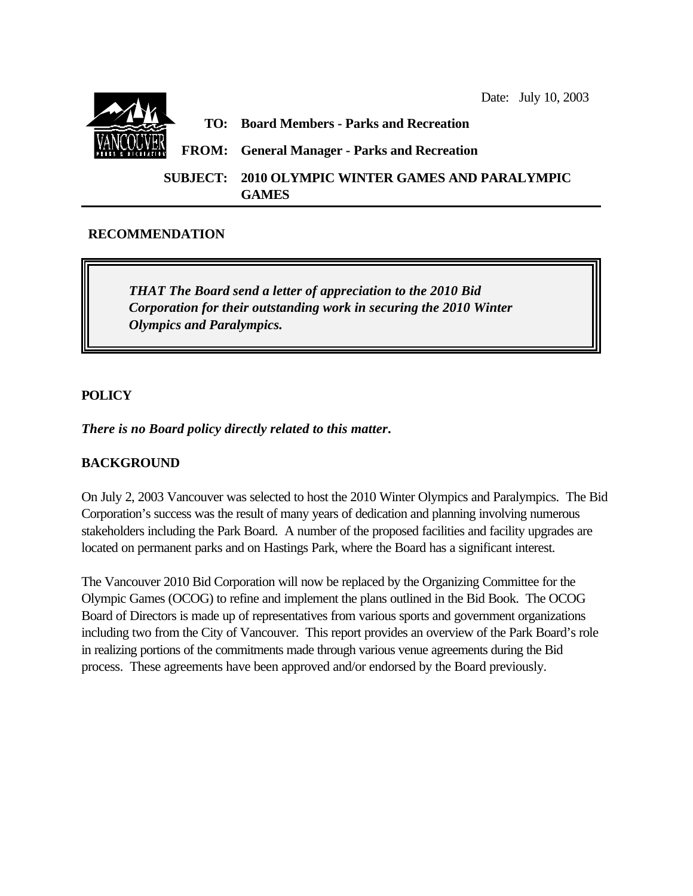

# **RECOMMENDATION**

*THAT The Board send a letter of appreciation to the 2010 Bid Corporation for their outstanding work in securing the 2010 Winter Olympics and Paralympics.*

# **POLICY**

*There is no Board policy directly related to this matter***.**

### **BACKGROUND**

On July 2, 2003 Vancouver was selected to host the 2010 Winter Olympics and Paralympics. The Bid Corporation's success was the result of many years of dedication and planning involving numerous stakeholders including the Park Board. A number of the proposed facilities and facility upgrades are located on permanent parks and on Hastings Park, where the Board has a significant interest.

The Vancouver 2010 Bid Corporation will now be replaced by the Organizing Committee for the Olympic Games (OCOG) to refine and implement the plans outlined in the Bid Book. The OCOG Board of Directors is made up of representatives from various sports and government organizations including two from the City of Vancouver. This report provides an overview of the Park Board's role in realizing portions of the commitments made through various venue agreements during the Bid process. These agreements have been approved and/or endorsed by the Board previously.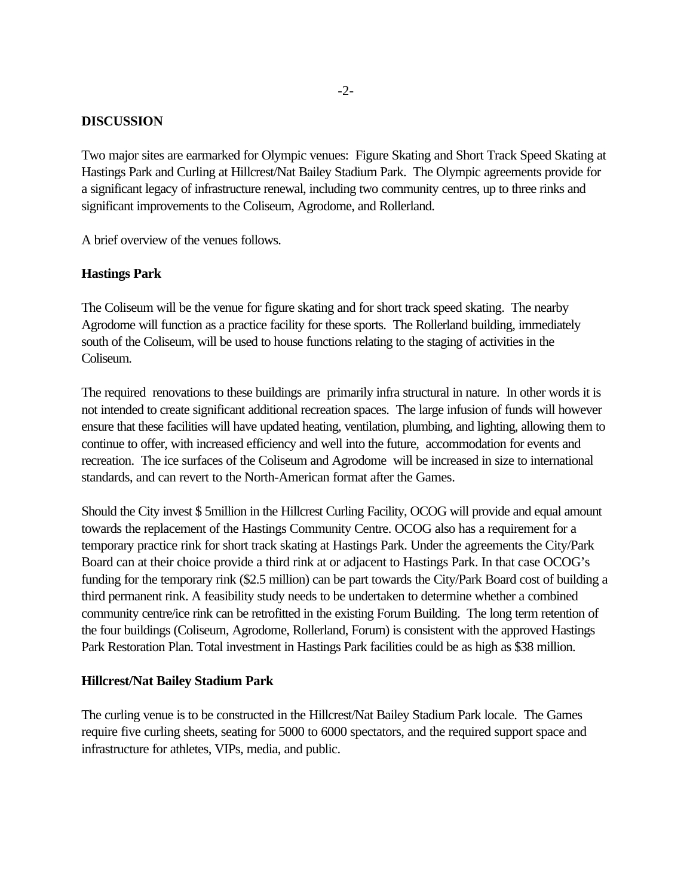### **DISCUSSION**

Two major sites are earmarked for Olympic venues: Figure Skating and Short Track Speed Skating at Hastings Park and Curling at Hillcrest/Nat Bailey Stadium Park. The Olympic agreements provide for a significant legacy of infrastructure renewal, including two community centres, up to three rinks and significant improvements to the Coliseum, Agrodome, and Rollerland.

A brief overview of the venues follows.

#### **Hastings Park**

The Coliseum will be the venue for figure skating and for short track speed skating. The nearby Agrodome will function as a practice facility for these sports. The Rollerland building, immediately south of the Coliseum, will be used to house functions relating to the staging of activities in the Coliseum.

The required renovations to these buildings are primarily infra structural in nature. In other words it is not intended to create significant additional recreation spaces. The large infusion of funds will however ensure that these facilities will have updated heating, ventilation, plumbing, and lighting, allowing them to continue to offer, with increased efficiency and well into the future, accommodation for events and recreation. The ice surfaces of the Coliseum and Agrodome will be increased in size to international standards, and can revert to the North-American format after the Games.

Should the City invest \$ 5million in the Hillcrest Curling Facility, OCOG will provide and equal amount towards the replacement of the Hastings Community Centre. OCOG also has a requirement for a temporary practice rink for short track skating at Hastings Park. Under the agreements the City/Park Board can at their choice provide a third rink at or adjacent to Hastings Park. In that case OCOG's funding for the temporary rink (\$2.5 million) can be part towards the City/Park Board cost of building a third permanent rink. A feasibility study needs to be undertaken to determine whether a combined community centre/ice rink can be retrofitted in the existing Forum Building. The long term retention of the four buildings (Coliseum, Agrodome, Rollerland, Forum) is consistent with the approved Hastings Park Restoration Plan. Total investment in Hastings Park facilities could be as high as \$38 million.

#### **Hillcrest/Nat Bailey Stadium Park**

The curling venue is to be constructed in the Hillcrest/Nat Bailey Stadium Park locale. The Games require five curling sheets, seating for 5000 to 6000 spectators, and the required support space and infrastructure for athletes, VIPs, media, and public.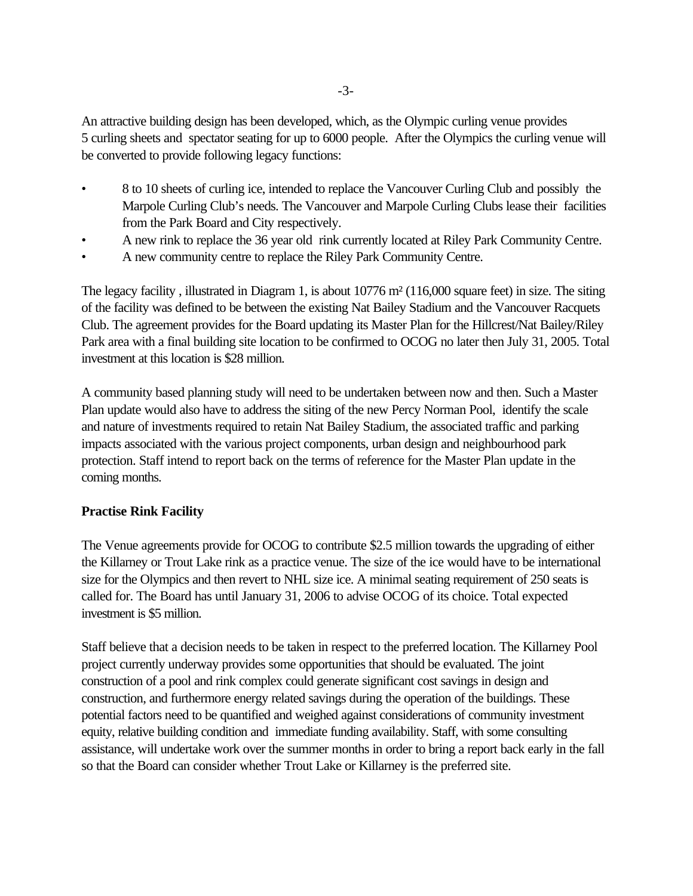An attractive building design has been developed, which, as the Olympic curling venue provides 5 curling sheets and spectator seating for up to 6000 people. After the Olympics the curling venue will be converted to provide following legacy functions:

- 8 to 10 sheets of curling ice, intended to replace the Vancouver Curling Club and possibly the Marpole Curling Club's needs. The Vancouver and Marpole Curling Clubs lease their facilities from the Park Board and City respectively.
- A new rink to replace the 36 year old rink currently located at Riley Park Community Centre.
- A new community centre to replace the Riley Park Community Centre.

The legacy facility , illustrated in Diagram 1, is about 10776 m² (116,000 square feet) in size. The siting of the facility was defined to be between the existing Nat Bailey Stadium and the Vancouver Racquets Club. The agreement provides for the Board updating its Master Plan for the Hillcrest/Nat Bailey/Riley Park area with a final building site location to be confirmed to OCOG no later then July 31, 2005. Total investment at this location is \$28 million.

A community based planning study will need to be undertaken between now and then. Such a Master Plan update would also have to address the siting of the new Percy Norman Pool, identify the scale and nature of investments required to retain Nat Bailey Stadium, the associated traffic and parking impacts associated with the various project components, urban design and neighbourhood park protection. Staff intend to report back on the terms of reference for the Master Plan update in the coming months.

### **Practise Rink Facility**

The Venue agreements provide for OCOG to contribute \$2.5 million towards the upgrading of either the Killarney or Trout Lake rink as a practice venue. The size of the ice would have to be international size for the Olympics and then revert to NHL size ice. A minimal seating requirement of 250 seats is called for. The Board has until January 31, 2006 to advise OCOG of its choice. Total expected investment is \$5 million.

Staff believe that a decision needs to be taken in respect to the preferred location. The Killarney Pool project currently underway provides some opportunities that should be evaluated. The joint construction of a pool and rink complex could generate significant cost savings in design and construction, and furthermore energy related savings during the operation of the buildings. These potential factors need to be quantified and weighed against considerations of community investment equity, relative building condition and immediate funding availability. Staff, with some consulting assistance, will undertake work over the summer months in order to bring a report back early in the fall so that the Board can consider whether Trout Lake or Killarney is the preferred site.